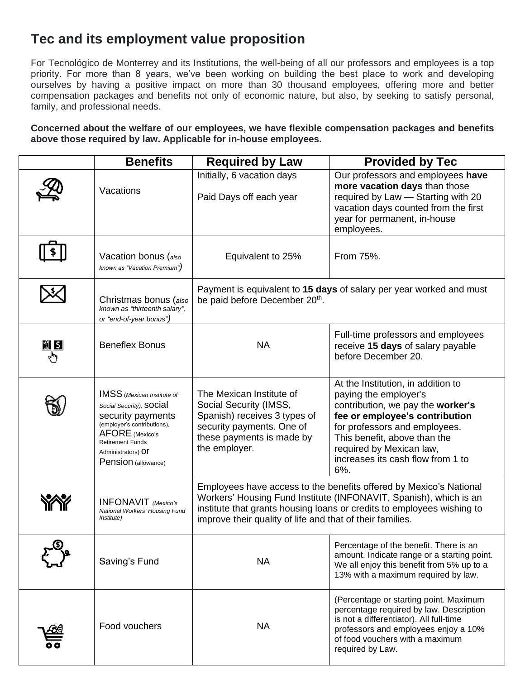# **Tec and its employment value proposition**

For Tecnológico de Monterrey and its Institutions, the well-being of all our professors and employees is a top priority. For more than 8 years, we've been working on building the best place to work and developing ourselves by having a positive impact on more than 30 thousand employees, offering more and better compensation packages and benefits not only of economic nature, but also, by seeking to satisfy personal, family, and professional needs.

**Concerned about the welfare of our employees, we have flexible compensation packages and benefits above those required by law. Applicable for in-house employees.**

|                    | <b>Benefits</b>                                                                                                                                                                                              | <b>Required by Law</b>                                                                                                                                                                                                                                                         | <b>Provided by Tec</b>                                                                                                                                                                                                                                                      |
|--------------------|--------------------------------------------------------------------------------------------------------------------------------------------------------------------------------------------------------------|--------------------------------------------------------------------------------------------------------------------------------------------------------------------------------------------------------------------------------------------------------------------------------|-----------------------------------------------------------------------------------------------------------------------------------------------------------------------------------------------------------------------------------------------------------------------------|
|                    | Vacations                                                                                                                                                                                                    | Initially, 6 vacation days<br>Paid Days off each year                                                                                                                                                                                                                          | Our professors and employees have<br>more vacation days than those<br>required by Law - Starting with 20<br>vacation days counted from the first<br>year for permanent, in-house<br>employees.                                                                              |
|                    | Vacation bonus (also<br>known as "Vacation Premium")                                                                                                                                                         | Equivalent to 25%                                                                                                                                                                                                                                                              | From 75%.                                                                                                                                                                                                                                                                   |
|                    | Christmas bonus (also<br>known as "thirteenth salary",<br>or "end-of-year bonus")                                                                                                                            | be paid before December 20th.                                                                                                                                                                                                                                                  | Payment is equivalent to 15 days of salary per year worked and must                                                                                                                                                                                                         |
| <u>শ্ল হা</u><br>O | <b>Beneflex Bonus</b>                                                                                                                                                                                        | <b>NA</b>                                                                                                                                                                                                                                                                      | Full-time professors and employees<br>receive 15 days of salary payable<br>before December 20.                                                                                                                                                                              |
|                    | <b>IMSS</b> (Mexican Institute of<br>Social Security), SOCIAI<br>security payments<br>(employer's contributions),<br>AFORE (Mexico's<br><b>Retirement Funds</b><br>Administrators) Of<br>Pension (allowance) | The Mexican Institute of<br>Social Security (IMSS,<br>Spanish) receives 3 types of<br>security payments. One of<br>these payments is made by<br>the employer.                                                                                                                  | At the Institution, in addition to<br>paying the employer's<br>contribution, we pay the worker's<br>fee or employee's contribution<br>for professors and employees.<br>This benefit, above than the<br>required by Mexican law,<br>increases its cash flow from 1 to<br>6%. |
|                    | <b>INFONAVIT</b> (Mexico's<br>National Workers' Housing Fund<br><i>Institute)</i>                                                                                                                            | Employees have access to the benefits offered by Mexico's National<br>Workers' Housing Fund Institute (INFONAVIT, Spanish), which is an<br>institute that grants housing loans or credits to employees wishing to<br>improve their quality of life and that of their families. |                                                                                                                                                                                                                                                                             |
|                    | Saving's Fund                                                                                                                                                                                                | <b>NA</b>                                                                                                                                                                                                                                                                      | Percentage of the benefit. There is an<br>amount. Indicate range or a starting point.<br>We all enjoy this benefit from 5% up to a<br>13% with a maximum required by law.                                                                                                   |
|                    | Food vouchers                                                                                                                                                                                                | <b>NA</b>                                                                                                                                                                                                                                                                      | (Percentage or starting point. Maximum<br>percentage required by law. Description<br>is not a differentiator). All full-time<br>professors and employees enjoy a 10%<br>of food vouchers with a maximum<br>required by Law.                                                 |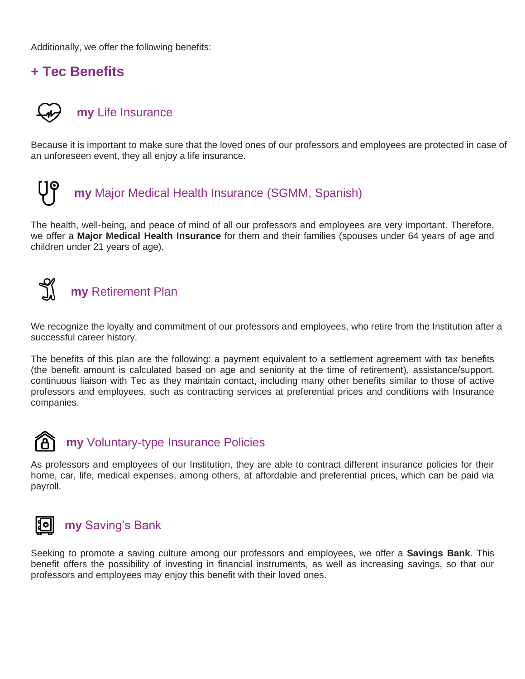Additionally, we offer the following benefits:

## **+ Tec Benefits**

# **my** Life Insurance

Because it is important to make sure that the loved ones of our professors and employees are protected in case of an unforeseen event, they all enjoy a life insurance.



The health, well-being, and peace of mind of all our professors and employees are very important. Therefore, we offer a **Major Medical Health Insurance** for them and their families (spouses under 64 years of age and children under 21 years of age).

#### $\prec$ **my** Retirement Plan

We recognize the loyalty and commitment of our professors and employees, who retire from the Institution after a successful career history.

The benefits of this plan are the following: a payment equivalent to a settlement agreement with tax benefits (the benefit amount is calculated based on age and seniority at the time of retirement), assistance/support, continuous liaison with Tec as they maintain contact, including many other benefits similar to those of active professors and employees, such as contracting services at preferential prices and conditions with Insurance companies.



# **my** Voluntary-type Insurance Policies

As professors and employees of our Institution, they are able to contract different insurance policies for their home, car, life, medical expenses, among others, at affordable and preferential prices, which can be paid via payroll.



## **my** Saving's Bank

Seeking to promote a saving culture among our professors and employees, we offer a **Savings Bank**. This benefit offers the possibility of investing in financial instruments, as well as increasing savings, so that our professors and employees may enjoy this benefit with their loved ones.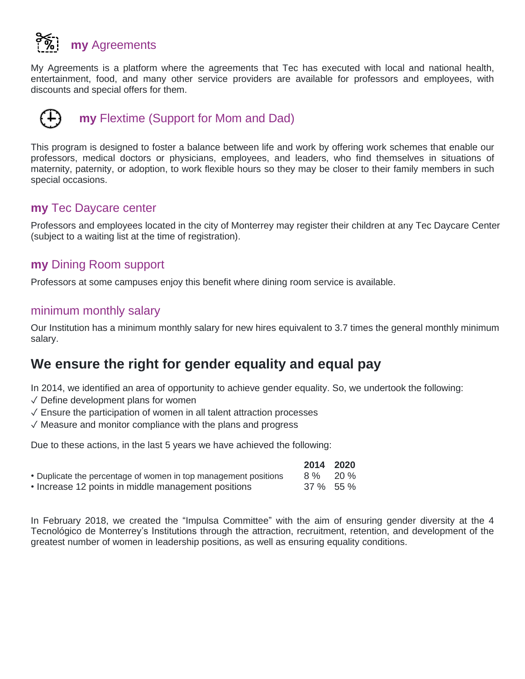

My Agreements is a platform where the agreements that Tec has executed with local and national health, entertainment, food, and many other service providers are available for professors and employees, with discounts and special offers for them.



This program is designed to foster a balance between life and work by offering work schemes that enable our professors, medical doctors or physicians, employees, and leaders, who find themselves in situations of maternity, paternity, or adoption, to work flexible hours so they may be closer to their family members in such special occasions.

#### **my** Tec Daycare center

Professors and employees located in the city of Monterrey may register their children at any Tec Daycare Center (subject to a waiting list at the time of registration).

### **my** Dining Room support

Professors at some campuses enjoy this benefit where dining room service is available.

#### minimum monthly salary

Our Institution has a minimum monthly salary for new hires equivalent to 3.7 times the general monthly minimum salary.

# **We ensure the right for gender equality and equal pay**

In 2014, we identified an area of opportunity to achieve gender equality. So, we undertook the following:

- ✓ Define development plans for women
- $\sqrt{\ }$  Ensure the participation of women in all talent attraction processes
- ✓ Measure and monitor compliance with the plans and progress

Due to these actions, in the last 5 years we have achieved the following:

|                                                                 | 2014 2020 |  |
|-----------------------------------------------------------------|-----------|--|
| • Duplicate the percentage of women in top management positions | 8 % 20 %  |  |
| • Increase 12 points in middle management positions             | 37 % 55 % |  |

In February 2018, we created the "Impulsa Committee" with the aim of ensuring gender diversity at the 4 Tecnológico de Monterrey's Institutions through the attraction, recruitment, retention, and development of the greatest number of women in leadership positions, as well as ensuring equality conditions.